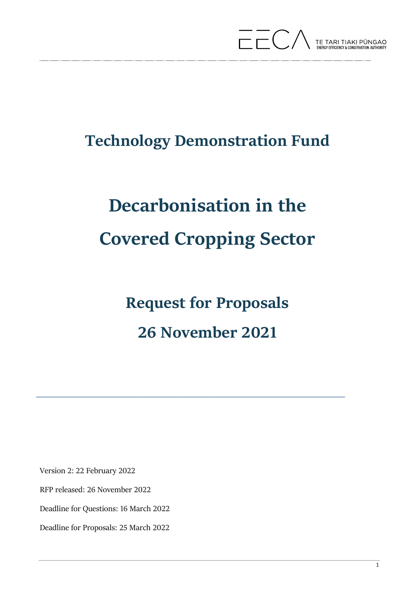

# **Technology Demonstration Fund**

# **Decarbonisation in the Covered Cropping Sector**

**Request for Proposals 26 November 2021**

 $\overline{\phantom{a}}$  , and the contract of the contract of the contract of the contract of the contract of the contract of the contract of the contract of the contract of the contract of the contract of the contract of the contrac

Version 2: 22 February 2022

RFP released: 26 November 2022

Deadline for Questions: 16 March 2022

Deadline for Proposals: 25 March 2022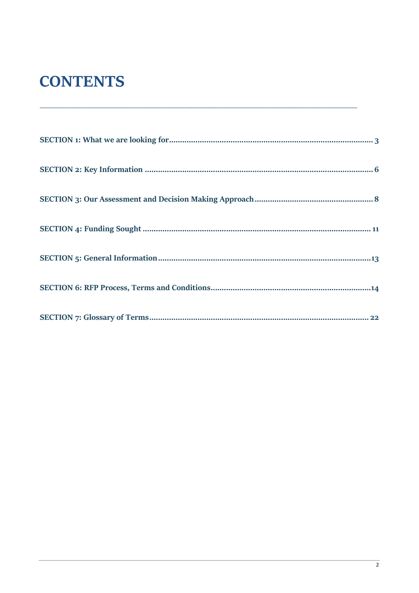# **CONTENTS**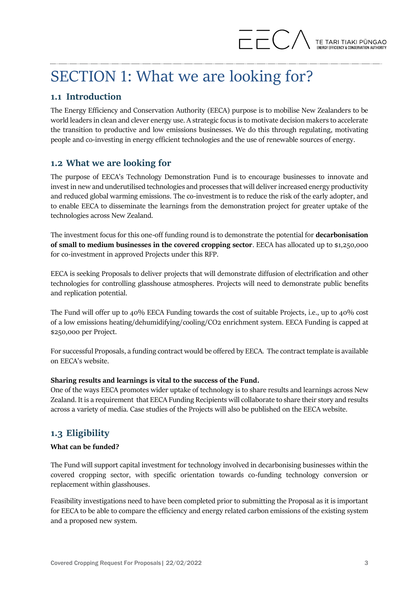# <span id="page-2-0"></span>SECTION 1: What we are looking for?

# **1.1 Introduction**

The Energy Efficiency and Conservation Authority (EECA) purpose is to mobilise New Zealanders to be world leaders in clean and clever energy use. A strategic focus is to motivate decision makers to accelerate the transition to productive and low emissions businesses. We do this through regulating, motivating people and co-investing in energy efficient technologies and the use of renewable sources of energy.

# **1.2 What we are looking for**

The purpose of EECA's Technology Demonstration Fund is to encourage businesses to innovate and invest in new and underutilised technologies and processes that will deliver increased energy productivity and reduced global warming emissions. The co-investment is to reduce the risk of the early adopter, and to enable EECA to disseminate the learnings from the demonstration project for greater uptake of the technologies across New Zealand.

The investment focus for this one-off funding round is to demonstrate the potential for **decarbonisation of small to medium businesses in the covered cropping sector**. EECA has allocated up to \$1,250,000 for co-investment in approved Projects under this RFP.

EECA is seeking Proposals to deliver projects that will demonstrate diffusion of electrification and other technologies for controlling glasshouse atmospheres. Projects will need to demonstrate public benefits and replication potential.

The Fund will offer up to 40% EECA Funding towards the cost of suitable Projects, i.e., up to 40% cost of a low emissions heating/dehumidifying/cooling/CO2 enrichment system. EECA Funding is capped at \$250,000 per Project.

For successful Proposals, a funding contract would be offered by EECA. The contract template is available on EECA's website.

#### **Sharing results and learnings is vital to the success of the Fund.**

One of the ways EECA promotes wider uptake of technology is to share results and learnings across New Zealand. It is a requirement that EECA Funding Recipients will collaborate to share their story and results across a variety of media. Case studies of the Projects will also be published on the EECA website.

# **1.3 Eligibility**

#### **What can be funded?**

The Fund will support capital investment for technology involved in decarbonising businesses within the covered cropping sector, with specific orientation towards co-funding technology conversion or replacement within glasshouses.

Feasibility investigations need to have been completed prior to submitting the Proposal as it is important for EECA to be able to compare the efficiency and energy related carbon emissions of the existing system and a proposed new system.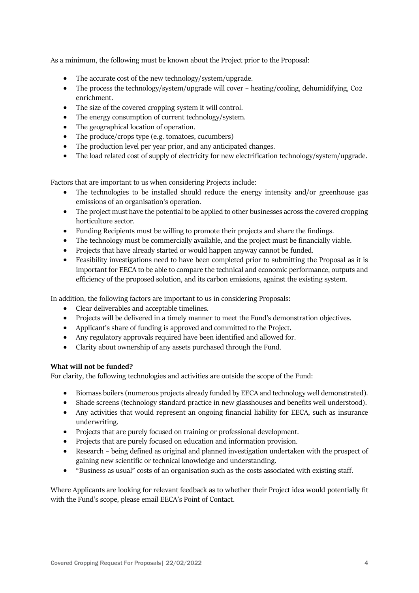As a minimum, the following must be known about the Project prior to the Proposal:

- The accurate cost of the new technology/system/upgrade.
- The process the technology/system/upgrade will cover heating/cooling, dehumidifying, Co2 enrichment.
- The size of the covered cropping system it will control.
- The energy consumption of current technology/system.
- The geographical location of operation.
- The produce/crops type (e.g. tomatoes, cucumbers)
- The production level per year prior, and any anticipated changes.
- The load related cost of supply of electricity for new electrification technology/system/upgrade.

Factors that are important to us when considering Projects include:

- The technologies to be installed should reduce the energy intensity and/or greenhouse gas emissions of an organisation's operation.
- The project must have the potential to be applied to other businesses across the covered cropping horticulture sector.
- Funding Recipients must be willing to promote their projects and share the findings.
- The technology must be commercially available, and the project must be financially viable.
- Projects that have already started or would happen anyway cannot be funded.
- Feasibility investigations need to have been completed prior to submitting the Proposal as it is important for EECA to be able to compare the technical and economic performance, outputs and efficiency of the proposed solution, and its carbon emissions, against the existing system.

In addition, the following factors are important to us in considering Proposals:

- Clear deliverables and acceptable timelines.
- Projects will be delivered in a timely manner to meet the Fund's demonstration objectives.
- Applicant's share of funding is approved and committed to the Project.
- Any regulatory approvals required have been identified and allowed for.
- Clarity about ownership of any assets purchased through the Fund.

#### **What will not be funded?**

For clarity, the following technologies and activities are outside the scope of the Fund:

- Biomass boilers (numerous projects already funded by EECA and technology well demonstrated).
- Shade screens (technology standard practice in new glasshouses and benefits well understood).
- Any activities that would represent an ongoing financial liability for EECA, such as insurance underwriting.
- Projects that are purely focused on training or professional development.
- Projects that are purely focused on education and information provision.
- Research being defined as original and planned investigation undertaken with the prospect of gaining new scientific or technical knowledge and understanding.
- "Business as usual" costs of an organisation such as the costs associated with existing staff.

Where Applicants are looking for relevant feedback as to whether their Project idea would potentially fit with the Fund's scope, please email EECA's Point of Contact.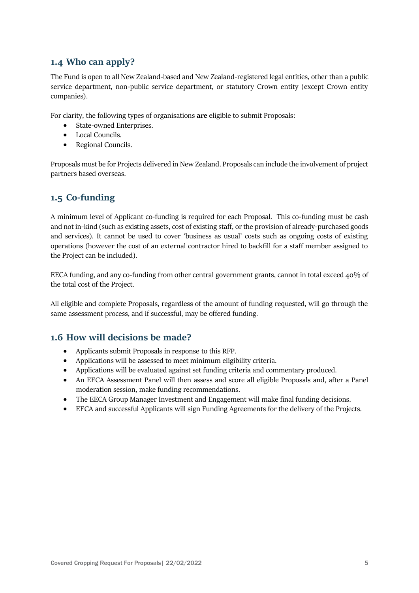# **1.4 Who can apply?**

The Fund is open to all New Zealand-based and New Zealand-registered legal entities, other than a public service department, non-public service department, or statutory Crown entity (except Crown entity companies).

For clarity, the following types of organisations **are** eligible to submit Proposals:

- State-owned Enterprises.
- Local Councils.
- Regional Councils.

Proposals must be for Projects delivered in New Zealand. Proposals can include the involvement of project partners based overseas.

# **1.5 Co-funding**

A minimum level of Applicant co-funding is required for each Proposal. This co-funding must be cash and not in-kind (such as existing assets, cost of existing staff, or the provision of already-purchased goods and services). It cannot be used to cover 'business as usual' costs such as ongoing costs of existing operations (however the cost of an external contractor hired to backfill for a staff member assigned to the Project can be included).

EECA funding, and any co-funding from other central government grants, cannot in total exceed 40% of the total cost of the Project.

All eligible and complete Proposals, regardless of the amount of funding requested, will go through the same assessment process, and if successful, may be offered funding.

# **1.6 How will decisions be made?**

- Applicants submit Proposals in response to this RFP.
- Applications will be assessed to meet minimum eligibility criteria.
- Applications will be evaluated against set funding criteria and commentary produced.
- An EECA Assessment Panel will then assess and score all eligible Proposals and, after a Panel moderation session, make funding recommendations.
- The EECA Group Manager Investment and Engagement will make final funding decisions.
- EECA and successful Applicants will sign Funding Agreements for the delivery of the Projects.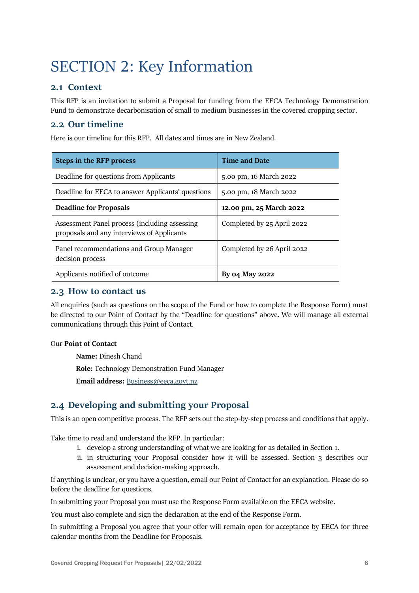# <span id="page-5-0"></span>SECTION 2: Key Information

### **2.1 Context**

This RFP is an invitation to submit a Proposal for funding from the EECA Technology Demonstration Fund to demonstrate decarbonisation of small to medium businesses in the covered cropping sector.

### **2.2 Our timeline**

Here is our timeline for this RFP. All dates and times are in New Zealand.

| <b>Steps in the RFP process</b>                                                             | <b>Time and Date</b>       |  |
|---------------------------------------------------------------------------------------------|----------------------------|--|
| Deadline for questions from Applicants                                                      | 5.00 pm, 16 March 2022     |  |
| Deadline for EECA to answer Applicants' questions                                           | 5.00 pm, 18 March 2022     |  |
| <b>Deadline for Proposals</b>                                                               | 12.00 pm, 25 March 2022    |  |
| Assessment Panel process (including assessing<br>proposals and any interviews of Applicants | Completed by 25 April 2022 |  |
| Panel recommendations and Group Manager<br>decision process                                 | Completed by 26 April 2022 |  |
| Applicants notified of outcome                                                              | By 04 May 2022             |  |

#### **2.3 How to contact us**

All enquiries (such as questions on the scope of the Fund or how to complete the Response Form) must be directed to our Point of Contact by the "Deadline for questions" above. We will manage all external communications through this Point of Contact.

#### Our **Point of Contact**

**Name:** Dinesh Chand

**Role:** Technology Demonstration Fund Manager

**Email address:** [Business@eeca.govt.nz](mailto:Business@eeca.govt.nz)

# **2.4 Developing and submitting your Proposal**

This is an open competitive process. The RFP sets out the step-by-step process and conditions that apply.

Take time to read and understand the RFP. In particular:

- i. develop a strong understanding of what we are looking for as detailed in Section 1.
- ii. in structuring your Proposal consider how it will be assessed. Section 3 describes our assessment and decision-making approach.

If anything is unclear, or you have a question, email our Point of Contact for an explanation. Please do so before the deadline for questions.

In submitting your Proposal you must use the Response Form available on the EECA website.

You must also complete and sign the declaration at the end of the Response Form.

In submitting a Proposal you agree that your offer will remain open for acceptance by EECA for three calendar months from the Deadline for Proposals.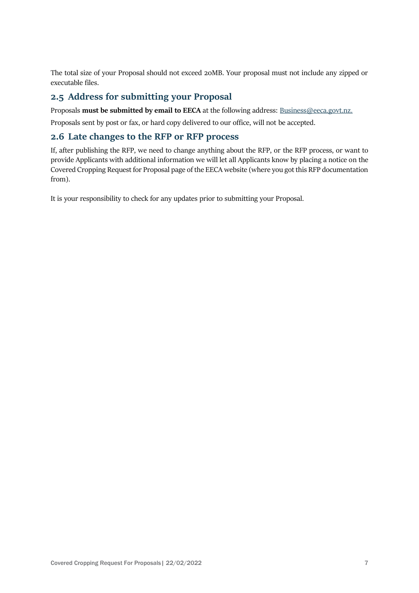The total size of your Proposal should not exceed 20MB. Your proposal must not include any zipped or executable files.

### **2.5 Address for submitting your Proposal**

Proposals **must be submitted by email to EECA** at the following address: [Business@eeca.govt.nz.](mailto:Business@eeca.govt.nz)

Proposals sent by post or fax, or hard copy delivered to our office, will not be accepted.

#### **2.6 Late changes to the RFP or RFP process**

If, after publishing the RFP, we need to change anything about the RFP, or the RFP process, or want to provide Applicants with additional information we will let all Applicants know by placing a notice on the Covered Cropping Request for Proposal page of the EECA website (where you got this RFP documentation from).

It is your responsibility to check for any updates prior to submitting your Proposal.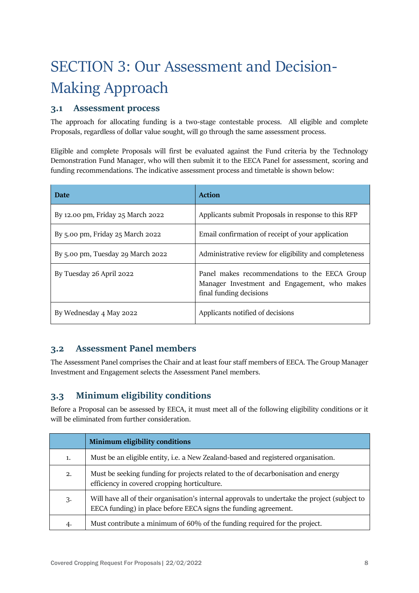# <span id="page-7-0"></span>SECTION 3: Our Assessment and Decision-Making Approach

# **3.1 Assessment process**

The approach for allocating funding is a two-stage contestable process. All eligible and complete Proposals, regardless of dollar value sought, will go through the same assessment process.

Eligible and complete Proposals will first be evaluated against the Fund criteria by the Technology Demonstration Fund Manager, who will then submit it to the EECA Panel for assessment, scoring and funding recommendations. The indicative assessment process and timetable is shown below:

| <b>Date</b>                       | <b>Action</b>                                                                                                            |
|-----------------------------------|--------------------------------------------------------------------------------------------------------------------------|
| By 12.00 pm, Friday 25 March 2022 | Applicants submit Proposals in response to this RFP                                                                      |
| By 5.00 pm, Friday 25 March 2022  | Email confirmation of receipt of your application                                                                        |
| By 5.00 pm, Tuesday 29 March 2022 | Administrative review for eligibility and completeness                                                                   |
| By Tuesday 26 April 2022          | Panel makes recommendations to the EECA Group<br>Manager Investment and Engagement, who makes<br>final funding decisions |
| By Wednesday 4 May 2022           | Applicants notified of decisions                                                                                         |

# **3.2 Assessment Panel members**

The Assessment Panel comprises the Chair and at least four staff members of EECA. The Group Manager Investment and Engagement selects the Assessment Panel members.

# **3.3 Minimum eligibility conditions**

Before a Proposal can be assessed by EECA, it must meet all of the following eligibility conditions or it will be eliminated from further consideration.

|    | <b>Minimum eligibility conditions</b>                                                                                                                            |
|----|------------------------------------------------------------------------------------------------------------------------------------------------------------------|
| 1. | Must be an eligible entity, i.e. a New Zealand-based and registered organisation.                                                                                |
| 2. | Must be seeking funding for projects related to the of decarbonisation and energy<br>efficiency in covered cropping horticulture.                                |
| 3. | Will have all of their organisation's internal approvals to undertake the project (subject to<br>EECA funding) in place before EECA signs the funding agreement. |
| 4. | Must contribute a minimum of 60% of the funding required for the project.                                                                                        |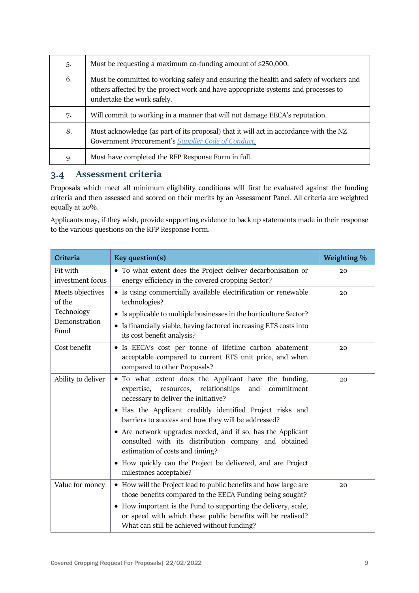| 5. | Must be requesting a maximum co-funding amount of \$250,000.                                                                                                                                             |
|----|----------------------------------------------------------------------------------------------------------------------------------------------------------------------------------------------------------|
| 6. | Must be committed to working safely and ensuring the health and safety of workers and<br>others affected by the project work and have appropriate systems and processes to<br>undertake the work safely. |
| 7. | Will commit to working in a manner that will not damage EECA's reputation.                                                                                                                               |
| 8. | Must acknowledge (as part of its proposal) that it will act in accordance with the NZ<br>Government Procurement's Supplier Code of Conduct.                                                              |
| 9. | Must have completed the RFP Response Form in full.                                                                                                                                                       |

# **3.4 Assessment criteria**

Proposals which meet all minimum eligibility conditions will first be evaluated against the funding criteria and then assessed and scored on their merits by an Assessment Panel. All criteria are weighted equally at 20%.

Applicants may, if they wish, provide supporting evidence to back up statements made in their response to the various questions on the RFP Response Form.

| Criteria                                                          | Key question(s)                                                                                                                                                                                                                                                                                                                                                                                                                                                                                                                     | Weighting % |
|-------------------------------------------------------------------|-------------------------------------------------------------------------------------------------------------------------------------------------------------------------------------------------------------------------------------------------------------------------------------------------------------------------------------------------------------------------------------------------------------------------------------------------------------------------------------------------------------------------------------|-------------|
| Fit with<br>investment focus                                      | • To what extent does the Project deliver decarbonisation or<br>energy efficiency in the covered cropping Sector?                                                                                                                                                                                                                                                                                                                                                                                                                   | 20          |
| Meets objectives<br>of the<br>Technology<br>Demonstration<br>Fund | • Is using commercially available electrification or renewable<br>technologies?<br>• Is applicable to multiple businesses in the horticulture Sector?<br>• Is financially viable, having factored increasing ETS costs into<br>its cost benefit analysis?                                                                                                                                                                                                                                                                           | 20          |
| Cost benefit                                                      | • Is EECA's cost per tonne of lifetime carbon abatement<br>acceptable compared to current ETS unit price, and when<br>compared to other Proposals?                                                                                                                                                                                                                                                                                                                                                                                  | 20          |
| Ability to deliver                                                | • To what extent does the Applicant have the funding,<br>relationships<br>expertise, resources,<br>and<br>commitment<br>necessary to deliver the initiative?<br>• Has the Applicant credibly identified Project risks and<br>barriers to success and how they will be addressed?<br>• Are network upgrades needed, and if so, has the Applicant<br>consulted with its distribution company and obtained<br>estimation of costs and timing?<br>• How quickly can the Project be delivered, and are Project<br>milestones acceptable? | 20          |
| Value for money                                                   | • How will the Project lead to public benefits and how large are<br>those benefits compared to the EECA Funding being sought?<br>• How important is the Fund to supporting the delivery, scale,<br>or speed with which these public benefits will be realised?<br>What can still be achieved without funding?                                                                                                                                                                                                                       | 20          |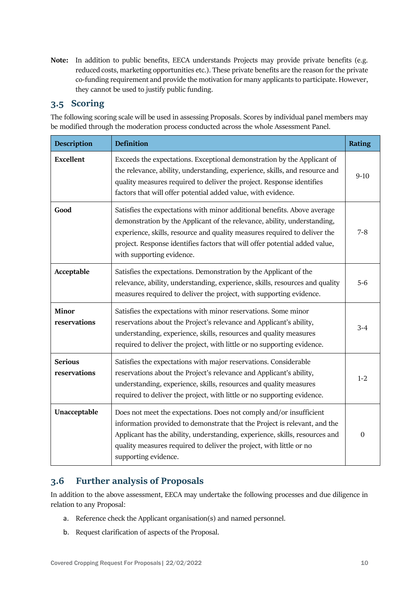**Note:** In addition to public benefits, EECA understands Projects may provide private benefits (e.g. reduced costs, marketing opportunities etc.). These private benefits are the reason for the private co-funding requirement and provide the motivation for many applicants to participate. However, they cannot be used to justify public funding.

# **3.5 Scoring**

The following scoring scale will be used in assessing Proposals. Scores by individual panel members may be modified through the moderation process conducted across the whole Assessment Panel.

| <b>Description</b>             | <b>Definition</b>                                                                                                                                                                                                                                                                                                                             | <b>Rating</b> |
|--------------------------------|-----------------------------------------------------------------------------------------------------------------------------------------------------------------------------------------------------------------------------------------------------------------------------------------------------------------------------------------------|---------------|
| <b>Excellent</b>               | Exceeds the expectations. Exceptional demonstration by the Applicant of<br>the relevance, ability, understanding, experience, skills, and resource and<br>quality measures required to deliver the project. Response identifies<br>factors that will offer potential added value, with evidence.                                              | $9-10$        |
| Good                           | Satisfies the expectations with minor additional benefits. Above average<br>demonstration by the Applicant of the relevance, ability, understanding,<br>experience, skills, resource and quality measures required to deliver the<br>project. Response identifies factors that will offer potential added value,<br>with supporting evidence. | $7 - 8$       |
| Acceptable                     | Satisfies the expectations. Demonstration by the Applicant of the<br>relevance, ability, understanding, experience, skills, resources and quality<br>measures required to deliver the project, with supporting evidence.                                                                                                                      | 5-6           |
| Minor<br>reservations          | Satisfies the expectations with minor reservations. Some minor<br>reservations about the Project's relevance and Applicant's ability,<br>understanding, experience, skills, resources and quality measures<br>required to deliver the project, with little or no supporting evidence.                                                         | $3 - 4$       |
| <b>Serious</b><br>reservations | Satisfies the expectations with major reservations. Considerable<br>reservations about the Project's relevance and Applicant's ability,<br>understanding, experience, skills, resources and quality measures<br>required to deliver the project, with little or no supporting evidence.                                                       | $1 - 2$       |
| Unacceptable                   | Does not meet the expectations. Does not comply and/or insufficient<br>information provided to demonstrate that the Project is relevant, and the<br>Applicant has the ability, understanding, experience, skills, resources and<br>quality measures required to deliver the project, with little or no<br>supporting evidence.                | $\mathbf{0}$  |

# **3.6 Further analysis of Proposals**

In addition to the above assessment, EECA may undertake the following processes and due diligence in relation to any Proposal:

- a. Reference check the Applicant organisation(s) and named personnel.
- b. Request clarification of aspects of the Proposal.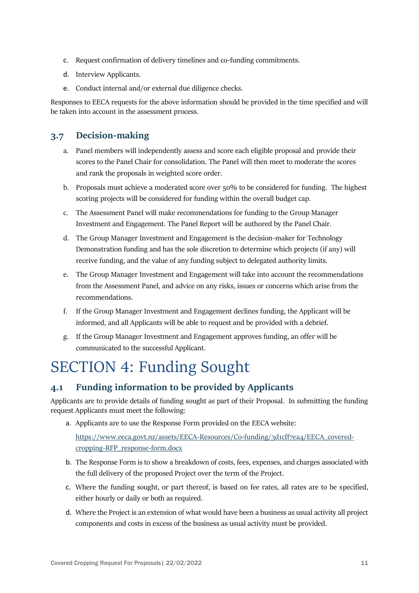- c. Request confirmation of delivery timelines and co-funding commitments.
- d. Interview Applicants.
- e. Conduct internal and/or external due diligence checks.

Responses to EECA requests for the above information should be provided in the time specified and will be taken into account in the assessment process.

# **3.7 Decision-making**

- a. Panel members will independently assess and score each eligible proposal and provide their scores to the Panel Chair for consolidation. The Panel will then meet to moderate the scores and rank the proposals in weighted score order.
- b. Proposals must achieve a moderated score over 50% to be considered for funding. The highest scoring projects will be considered for funding within the overall budget cap.
- c. The Assessment Panel will make recommendations for funding to the Group Manager Investment and Engagement. The Panel Report will be authored by the Panel Chair.
- d. The Group Manager Investment and Engagement is the decision-maker for Technology Demonstration funding and has the sole discretion to determine which projects (if any) will receive funding, and the value of any funding subject to delegated authority limits.
- e. The Group Manager Investment and Engagement will take into account the recommendations from the Assessment Panel, and advice on any risks, issues or concerns which arise from the recommendations.
- f. If the Group Manager Investment and Engagement declines funding, the Applicant will be informed, and all Applicants will be able to request and be provided with a debrief.
- g. If the Group Manager Investment and Engagement approves funding, an offer will be communicated to the successful Applicant.

# <span id="page-10-0"></span>SECTION 4: Funding Sought

# **4.1 Funding information to be provided by Applicants**

Applicants are to provide details of funding sought as part of their Proposal. In submitting the funding request Applicants must meet the following:

a. Applicants are to use the Response Form provided on the EECA website:

[https://www.eeca.govt.nz/assets/EECA-Resources/Co-funding/3d1cff7ea4/EECA\\_covered](https://www.eeca.govt.nz/assets/EECA-Resources/Co-funding/3d1cff7ea4/EECA_covered-cropping-RFP_response-form.docx)[cropping-RFP\\_response-form.docx](https://www.eeca.govt.nz/assets/EECA-Resources/Co-funding/3d1cff7ea4/EECA_covered-cropping-RFP_response-form.docx)

- b. The Response Form is to show a breakdown of costs, fees, expenses, and charges associated with the full delivery of the proposed Project over the term of the Project.
- c. Where the funding sought, or part thereof, is based on fee rates, all rates are to be specified, either hourly or daily or both as required.
- d. Where the Project is an extension of what would have been a business as usual activity all project components and costs in excess of the business as usual activity must be provided.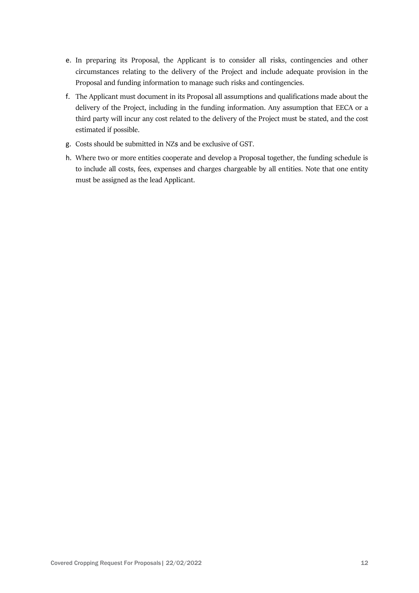- e. In preparing its Proposal, the Applicant is to consider all risks, contingencies and other circumstances relating to the delivery of the Project and include adequate provision in the Proposal and funding information to manage such risks and contingencies.
- f. The Applicant must document in its Proposal all assumptions and qualifications made about the delivery of the Project, including in the funding information. Any assumption that EECA or a third party will incur any cost related to the delivery of the Project must be stated, and the cost estimated if possible.
- g. Costs should be submitted in NZ\$ and be exclusive of GST.
- h. Where two or more entities cooperate and develop a Proposal together, the funding schedule is to include all costs, fees, expenses and charges chargeable by all entities. Note that one entity must be assigned as the lead Applicant.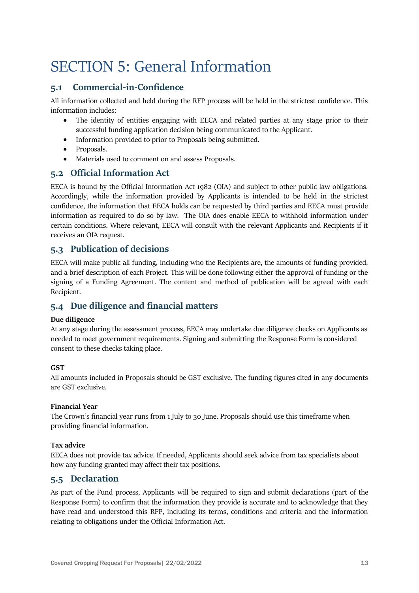# <span id="page-12-0"></span>SECTION 5: General Information

# **5.1 Commercial-in-Confidence**

All information collected and held during the RFP process will be held in the strictest confidence. This information includes:

- The identity of entities engaging with EECA and related parties at any stage prior to their successful funding application decision being communicated to the Applicant.
- Information provided to prior to Proposals being submitted.
- Proposals.
- Materials used to comment on and assess Proposals.

# **5.2 Official Information Act**

EECA is bound by the Official Information Act 1982 (OIA) and subject to other public law obligations. Accordingly, while the information provided by Applicants is intended to be held in the strictest confidence, the information that EECA holds can be requested by third parties and EECA must provide information as required to do so by law. The OIA does enable EECA to withhold information under certain conditions. Where relevant, EECA will consult with the relevant Applicants and Recipients if it receives an OIA request.

# **5.3 Publication of decisions**

EECA will make public all funding, including who the Recipients are, the amounts of funding provided, and a brief description of each Project. This will be done following either the approval of funding or the signing of a Funding Agreement. The content and method of publication will be agreed with each Recipient.

# **5.4 Due diligence and financial matters**

#### **Due diligence**

At any stage during the assessment process, EECA may undertake due diligence checks on Applicants as needed to meet government requirements. Signing and submitting the Response Form is considered consent to these checks taking place.

#### **GST**

All amounts included in Proposals should be GST exclusive. The funding figures cited in any documents are GST exclusive.

#### **Financial Year**

The Crown's financial year runs from 1 July to 30 June. Proposals should use this timeframe when providing financial information.

#### **Tax advice**

EECA does not provide tax advice. If needed, Applicants should seek advice from tax specialists about how any funding granted may affect their tax positions.

# **5.5 Declaration**

As part of the Fund process, Applicants will be required to sign and submit declarations (part of the Response Form) to confirm that the information they provide is accurate and to acknowledge that they have read and understood this RFP, including its terms, conditions and criteria and the information relating to obligations under the Official Information Act.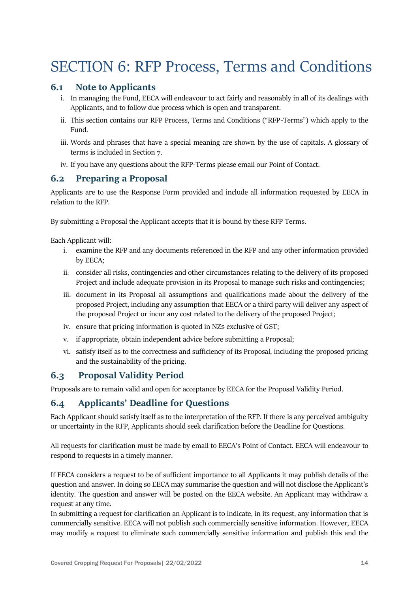# <span id="page-13-0"></span>SECTION 6: RFP Process, Terms and Conditions

#### **6.1 Note to Applicants**

- i. In managing the Fund, EECA will endeavour to act fairly and reasonably in all of its dealings with Applicants, and to follow due process which is open and transparent.
- ii. This section contains our RFP Process, Terms and Conditions ("RFP-Terms") which apply to the Fund.
- iii. Words and phrases that have a special meaning are shown by the use of capitals. A glossary of terms is included in Section 7.
- iv. If you have any questions about the RFP-Terms please email our Point of Contact.

### **6.2 Preparing a Proposal**

Applicants are to use the Response Form provided and include all information requested by EECA in relation to the RFP.

By submitting a Proposal the Applicant accepts that it is bound by these RFP Terms.

Each Applicant will:

- i. examine the RFP and any documents referenced in the RFP and any other information provided by EECA;
- ii. consider all risks, contingencies and other circumstances relating to the delivery of its proposed Project and include adequate provision in its Proposal to manage such risks and contingencies;
- iii. document in its Proposal all assumptions and qualifications made about the delivery of the proposed Project, including any assumption that EECA or a third party will deliver any aspect of the proposed Project or incur any cost related to the delivery of the proposed Project;
- iv. ensure that pricing information is quoted in NZ\$ exclusive of GST;
- v. if appropriate, obtain independent advice before submitting a Proposal;
- vi. satisfy itself as to the correctness and sufficiency of its Proposal, including the proposed pricing and the sustainability of the pricing.

# **6.3 Proposal Validity Period**

Proposals are to remain valid and open for acceptance by EECA for the Proposal Validity Period.

# **6.4 Applicants' Deadline for Questions**

Each Applicant should satisfy itself as to the interpretation of the RFP. If there is any perceived ambiguity or uncertainty in the RFP, Applicants should seek clarification before the Deadline for Questions.

All requests for clarification must be made by email to EECA's Point of Contact. EECA will endeavour to respond to requests in a timely manner.

If EECA considers a request to be of sufficient importance to all Applicants it may publish details of the question and answer. In doing so EECA may summarise the question and will not disclose the Applicant's identity. The question and answer will be posted on the EECA website. An Applicant may withdraw a request at any time.

In submitting a request for clarification an Applicant is to indicate, in its request, any information that is commercially sensitive. EECA will not publish such commercially sensitive information. However, EECA may modify a request to eliminate such commercially sensitive information and publish this and the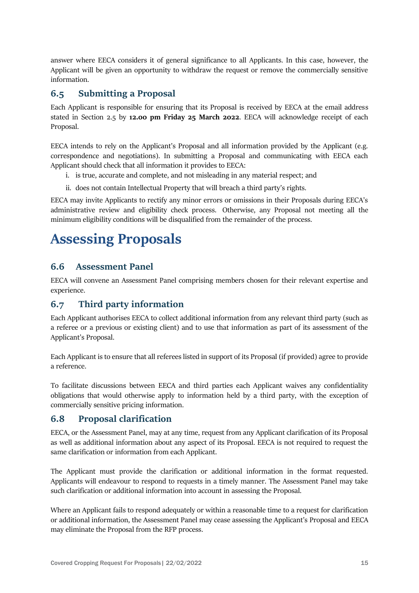answer where EECA considers it of general significance to all Applicants. In this case, however, the Applicant will be given an opportunity to withdraw the request or remove the commercially sensitive information.

### **6.5 Submitting a Proposal**

Each Applicant is responsible for ensuring that its Proposal is received by EECA at the email address stated in Section 2.5 by **12.00 pm Friday 25 March 2022**. EECA will acknowledge receipt of each Proposal.

EECA intends to rely on the Applicant's Proposal and all information provided by the Applicant (e.g. correspondence and negotiations). In submitting a Proposal and communicating with EECA each Applicant should check that all information it provides to EECA:

- i. is true, accurate and complete, and not misleading in any material respect; and
- ii. does not contain Intellectual Property that will breach a third party's rights.

EECA may invite Applicants to rectify any minor errors or omissions in their Proposals during EECA's administrative review and eligibility check process. Otherwise, any Proposal not meeting all the minimum eligibility conditions will be disqualified from the remainder of the process.

# **Assessing Proposals**

### **6.6 Assessment Panel**

EECA will convene an Assessment Panel comprising members chosen for their relevant expertise and experience.

# **6.7 Third party information**

Each Applicant authorises EECA to collect additional information from any relevant third party (such as a referee or a previous or existing client) and to use that information as part of its assessment of the Applicant's Proposal.

Each Applicant is to ensure that all referees listed in support of its Proposal (if provided) agree to provide a reference.

To facilitate discussions between EECA and third parties each Applicant waives any confidentiality obligations that would otherwise apply to information held by a third party, with the exception of commercially sensitive pricing information.

#### **6.8 Proposal clarification**

EECA, or the Assessment Panel, may at any time, request from any Applicant clarification of its Proposal as well as additional information about any aspect of its Proposal. EECA is not required to request the same clarification or information from each Applicant.

The Applicant must provide the clarification or additional information in the format requested. Applicants will endeavour to respond to requests in a timely manner. The Assessment Panel may take such clarification or additional information into account in assessing the Proposal.

Where an Applicant fails to respond adequately or within a reasonable time to a request for clarification or additional information, the Assessment Panel may cease assessing the Applicant's Proposal and EECA may eliminate the Proposal from the RFP process.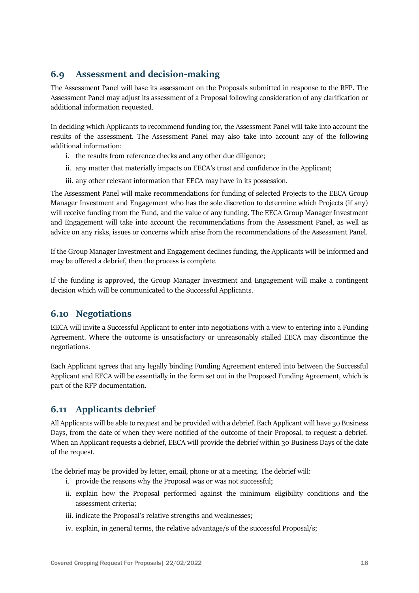# **6.9 Assessment and decision-making**

The Assessment Panel will base its assessment on the Proposals submitted in response to the RFP. The Assessment Panel may adjust its assessment of a Proposal following consideration of any clarification or additional information requested.

In deciding which Applicants to recommend funding for, the Assessment Panel will take into account the results of the assessment. The Assessment Panel may also take into account any of the following additional information:

- i. the results from reference checks and any other due diligence;
- ii. any matter that materially impacts on EECA's trust and confidence in the Applicant;
- iii. any other relevant information that EECA may have in its possession.

The Assessment Panel will make recommendations for funding of selected Projects to the EECA Group Manager Investment and Engagement who has the sole discretion to determine which Projects (if any) will receive funding from the Fund, and the value of any funding. The EECA Group Manager Investment and Engagement will take into account the recommendations from the Assessment Panel, as well as advice on any risks, issues or concerns which arise from the recommendations of the Assessment Panel.

If the Group Manager Investment and Engagement declines funding, the Applicants will be informed and may be offered a debrief, then the process is complete.

If the funding is approved, the Group Manager Investment and Engagement will make a contingent decision which will be communicated to the Successful Applicants.

# **6.10 Negotiations**

EECA will invite a Successful Applicant to enter into negotiations with a view to entering into a Funding Agreement. Where the outcome is unsatisfactory or unreasonably stalled EECA may discontinue the negotiations.

Each Applicant agrees that any legally binding Funding Agreement entered into between the Successful Applicant and EECA will be essentially in the form set out in the Proposed Funding Agreement, which is part of the RFP documentation.

# **6.11 Applicants debrief**

All Applicants will be able to request and be provided with a debrief. Each Applicant will have 30 Business Days, from the date of when they were notified of the outcome of their Proposal, to request a debrief. When an Applicant requests a debrief, EECA will provide the debrief within 30 Business Days of the date of the request.

The debrief may be provided by letter, email, phone or at a meeting. The debrief will:

- i. provide the reasons why the Proposal was or was not successful;
- ii. explain how the Proposal performed against the minimum eligibility conditions and the assessment criteria;
- iii. indicate the Proposal's relative strengths and weaknesses;
- iv. explain, in general terms, the relative advantage/s of the successful Proposal/s;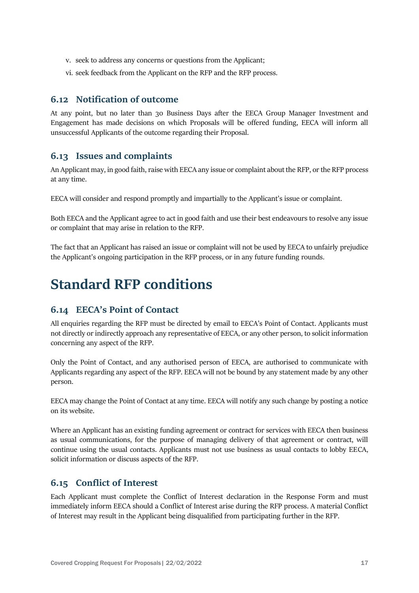- v. seek to address any concerns or questions from the Applicant;
- vi. seek feedback from the Applicant on the RFP and the RFP process.

#### **6.12 Notification of outcome**

At any point, but no later than 30 Business Days after the EECA Group Manager Investment and Engagement has made decisions on which Proposals will be offered funding, EECA will inform all unsuccessful Applicants of the outcome regarding their Proposal.

#### **6.13 Issues and complaints**

An Applicant may, in good faith, raise with EECA any issue or complaint about the RFP, or the RFP process at any time.

EECA will consider and respond promptly and impartially to the Applicant's issue or complaint.

Both EECA and the Applicant agree to act in good faith and use their best endeavours to resolve any issue or complaint that may arise in relation to the RFP.

The fact that an Applicant has raised an issue or complaint will not be used by EECA to unfairly prejudice the Applicant's ongoing participation in the RFP process, or in any future funding rounds.

# **Standard RFP conditions**

#### <span id="page-16-0"></span>**6.14 EECA's Point of Contact**

All enquiries regarding the RFP must be directed by email to EECA's Point of Contact. Applicants must not directly or indirectly approach any representative of EECA, or any other person, to solicit information concerning any aspect of the RFP.

Only the Point of Contact, and any authorised person of EECA, are authorised to communicate with Applicants regarding any aspect of the RFP. EECA will not be bound by any statement made by any other person.

EECA may change the Point of Contact at any time. EECA will notify any such change by posting a notice on its website.

Where an Applicant has an existing funding agreement or contract for services with EECA then business as usual communications, for the purpose of managing delivery of that agreement or contract, will continue using the usual contacts. Applicants must not use business as usual contacts to lobby EECA, solicit information or discuss aspects of the RFP.

#### **6.15 Conflict of Interest**

Each Applicant must complete the Conflict of Interest declaration in the Response Form and must immediately inform EECA should a Conflict of Interest arise during the RFP process. A material Conflict of Interest may result in the Applicant being disqualified from participating further in the RFP.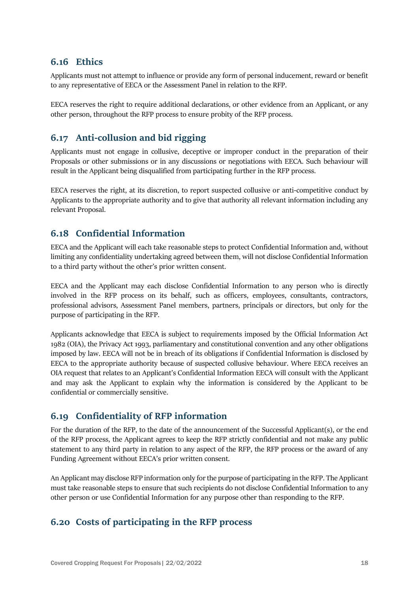### **6.16 Ethics**

Applicants must not attempt to influence or provide any form of personal inducement, reward or benefit to any representative of EECA or the Assessment Panel in relation to the RFP.

EECA reserves the right to require additional declarations, or other evidence from an Applicant, or any other person, throughout the RFP process to ensure probity of the RFP process.

# **6.17 Anti-collusion and bid rigging**

Applicants must not engage in collusive, deceptive or improper conduct in the preparation of their Proposals or other submissions or in any discussions or negotiations with EECA. Such behaviour will result in the Applicant being disqualified from participating further in the RFP process.

EECA reserves the right, at its discretion, to report suspected collusive or anti-competitive conduct by Applicants to the appropriate authority and to give that authority all relevant information including any relevant Proposal.

# **6.18 Confidential Information**

EECA and the Applicant will each take reasonable steps to protect Confidential Information and, without limiting any confidentiality undertaking agreed between them, will not disclose Confidential Information to a third party without the other's prior written consent.

EECA and the Applicant may each disclose Confidential Information to any person who is directly involved in the RFP process on its behalf, such as officers, employees, consultants, contractors, professional advisors, Assessment Panel members, partners, principals or directors, but only for the purpose of participating in the RFP.

Applicants acknowledge that EECA is subject to requirements imposed by the Official Information Act 1982 (OIA), the Privacy Act 1993, parliamentary and constitutional convention and any other obligations imposed by law. EECA will not be in breach of its obligations if Confidential Information is disclosed by EECA to the appropriate authority because of suspected collusive behaviour. Where EECA receives an OIA request that relates to an Applicant's Confidential Information EECA will consult with the Applicant and may ask the Applicant to explain why the information is considered by the Applicant to be confidential or commercially sensitive.

# **6.19 Confidentiality of RFP information**

For the duration of the RFP, to the date of the announcement of the Successful Applicant(s), or the end of the RFP process, the Applicant agrees to keep the RFP strictly confidential and not make any public statement to any third party in relation to any aspect of the RFP, the RFP process or the award of any Funding Agreement without EECA's prior written consent.

An Applicant may disclose RFP information only for the purpose of participating in the RFP. The Applicant must take reasonable steps to ensure that such recipients do not disclose Confidential Information to any other person or use Confidential Information for any purpose other than responding to the RFP.

# **6.20 Costs of participating in the RFP process**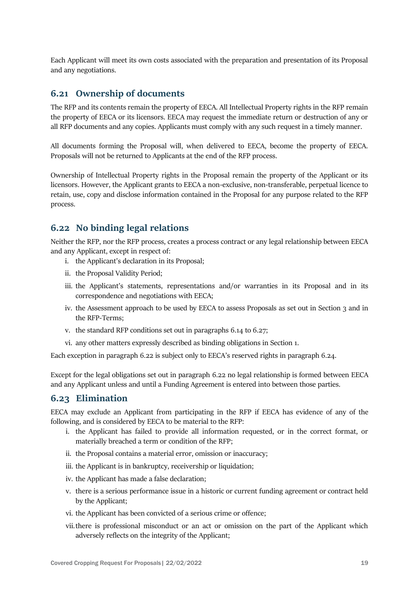Each Applicant will meet its own costs associated with the preparation and presentation of its Proposal and any negotiations.

#### **6.21 Ownership of documents**

The RFP and its contents remain the property of EECA. All Intellectual Property rights in the RFP remain the property of EECA or its licensors. EECA may request the immediate return or destruction of any or all RFP documents and any copies. Applicants must comply with any such request in a timely manner.

All documents forming the Proposal will, when delivered to EECA, become the property of EECA. Proposals will not be returned to Applicants at the end of the RFP process.

Ownership of Intellectual Property rights in the Proposal remain the property of the Applicant or its licensors. However, the Applicant grants to EECA a non-exclusive, non-transferable, perpetual licence to retain, use, copy and disclose information contained in the Proposal for any purpose related to the RFP process.

### <span id="page-18-0"></span>**6.22 No binding legal relations**

Neither the RFP, nor the RFP process, creates a process contract or any legal relationship between EECA and any Applicant, except in respect of:

- i. the Applicant's declaration in its Proposal;
- ii. the Proposal Validity Period;
- iii. the Applicant's statements, representations and/or warranties in its Proposal and in its correspondence and negotiations with EECA;
- iv. the Assessment approach to be used by EECA to assess Proposals as set out in Section 3 and in the RFP-Terms;
- v. the standard RFP conditions set out in paragraphs [6.14](#page-16-0) to [6.27;](#page-20-0)
- vi. any other matters expressly described as binding obligations in Section 1.

Each exception in paragraph [6.22](#page-18-0) is subject only to EECA's reserved rights in paragraph [6.24.](#page-19-0)

Except for the legal obligations set out in paragraph [6.22](#page-18-0) no legal relationship is formed between EECA and any Applicant unless and until a Funding Agreement is entered into between those parties.

### **6.23 Elimination**

EECA may exclude an Applicant from participating in the RFP if EECA has evidence of any of the following, and is considered by EECA to be material to the RFP:

- i. the Applicant has failed to provide all information requested, or in the correct format, or materially breached a term or condition of the RFP;
- ii. the Proposal contains a material error, omission or inaccuracy;
- iii. the Applicant is in bankruptcy, receivership or liquidation;
- iv. the Applicant has made a false declaration;
- v. there is a serious performance issue in a historic or current funding agreement or contract held by the Applicant;
- vi. the Applicant has been convicted of a serious crime or offence;
- vii.there is professional misconduct or an act or omission on the part of the Applicant which adversely reflects on the integrity of the Applicant;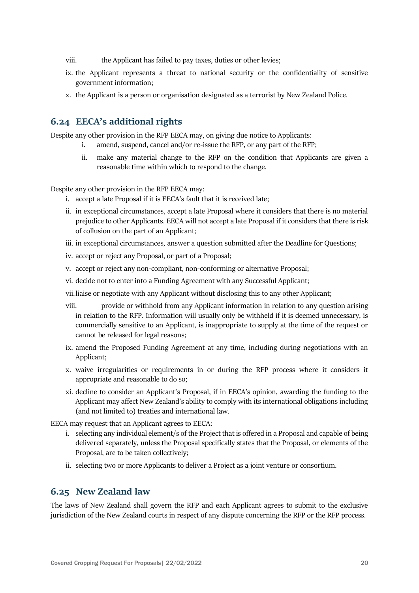- viii. the Applicant has failed to pay taxes, duties or other levies;
- ix. the Applicant represents a threat to national security or the confidentiality of sensitive government information;
- x. the Applicant is a person or organisation designated as a terrorist by New Zealand Police.

### <span id="page-19-0"></span>**6.24 EECA's additional rights**

Despite any other provision in the RFP EECA may, on giving due notice to Applicants:

- i. amend, suspend, cancel and/or re-issue the RFP, or any part of the RFP;
- ii. make any material change to the RFP on the condition that Applicants are given a reasonable time within which to respond to the change.

Despite any other provision in the RFP EECA may:

- i. accept a late Proposal if it is EECA's fault that it is received late;
- ii. in exceptional circumstances, accept a late Proposal where it considers that there is no material prejudice to other Applicants. EECA will not accept a late Proposal if it considers that there is risk of collusion on the part of an Applicant;
- iii. in exceptional circumstances, answer a question submitted after the Deadline for Questions;
- iv. accept or reject any Proposal, or part of a Proposal;
- v. accept or reject any non-compliant, non-conforming or alternative Proposal;
- vi. decide not to enter into a Funding Agreement with any Successful Applicant;
- vii.liaise or negotiate with any Applicant without disclosing this to any other Applicant;
- viii. provide or withhold from any Applicant information in relation to any question arising in relation to the RFP. Information will usually only be withheld if it is deemed unnecessary, is commercially sensitive to an Applicant, is inappropriate to supply at the time of the request or cannot be released for legal reasons;
- ix. amend the Proposed Funding Agreement at any time, including during negotiations with an Applicant;
- x. waive irregularities or requirements in or during the RFP process where it considers it appropriate and reasonable to do so;
- xi. decline to consider an Applicant's Proposal, if in EECA's opinion, awarding the funding to the Applicant may affect New Zealand's ability to comply with its international obligations including (and not limited to) treaties and international law.

EECA may request that an Applicant agrees to EECA:

- i. selecting any individual element/s of the Project that is offered in a Proposal and capable of being delivered separately, unless the Proposal specifically states that the Proposal, or elements of the Proposal, are to be taken collectively;
- ii. selecting two or more Applicants to deliver a Project as a joint venture or consortium.

#### **6.25 New Zealand law**

The laws of New Zealand shall govern the RFP and each Applicant agrees to submit to the exclusive jurisdiction of the New Zealand courts in respect of any dispute concerning the RFP or the RFP process.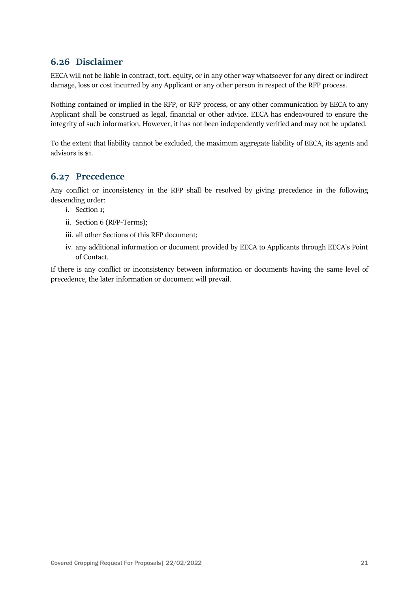# **6.26 Disclaimer**

EECA will not be liable in contract, tort, equity, or in any other way whatsoever for any direct or indirect damage, loss or cost incurred by any Applicant or any other person in respect of the RFP process.

Nothing contained or implied in the RFP, or RFP process, or any other communication by EECA to any Applicant shall be construed as legal, financial or other advice. EECA has endeavoured to ensure the integrity of such information. However, it has not been independently verified and may not be updated.

To the extent that liability cannot be excluded, the maximum aggregate liability of EECA, its agents and advisors is \$1.

# <span id="page-20-0"></span>**6.27 Precedence**

Any conflict or inconsistency in the RFP shall be resolved by giving precedence in the following descending order:

- i. Section 1;
- ii. Section 6 (RFP-Terms);
- iii. all other Sections of this RFP document;
- iv. any additional information or document provided by EECA to Applicants through EECA's Point of Contact.

If there is any conflict or inconsistency between information or documents having the same level of precedence, the later information or document will prevail.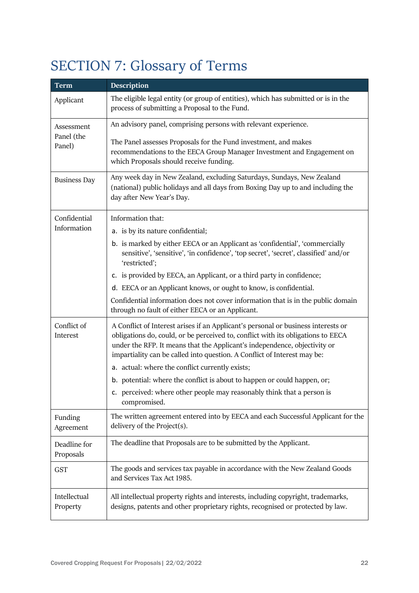# <span id="page-21-0"></span>SECTION 7: Glossary of Terms

| <b>Term</b>                        | <b>Description</b>                                                                                                                                                                                                                                                                                                             |
|------------------------------------|--------------------------------------------------------------------------------------------------------------------------------------------------------------------------------------------------------------------------------------------------------------------------------------------------------------------------------|
| Applicant                          | The eligible legal entity (or group of entities), which has submitted or is in the<br>process of submitting a Proposal to the Fund.                                                                                                                                                                                            |
| Assessment<br>Panel (the<br>Panel) | An advisory panel, comprising persons with relevant experience.                                                                                                                                                                                                                                                                |
|                                    | The Panel assesses Proposals for the Fund investment, and makes<br>recommendations to the EECA Group Manager Investment and Engagement on<br>which Proposals should receive funding.                                                                                                                                           |
| <b>Business Day</b>                | Any week day in New Zealand, excluding Saturdays, Sundays, New Zealand<br>(national) public holidays and all days from Boxing Day up to and including the<br>day after New Year's Day.                                                                                                                                         |
| Confidential                       | Information that:                                                                                                                                                                                                                                                                                                              |
| Information                        | a. is by its nature confidential;                                                                                                                                                                                                                                                                                              |
|                                    | b. is marked by either EECA or an Applicant as 'confidential', 'commercially<br>sensitive', 'sensitive', 'in confidence', 'top secret', 'secret', classified' and/or<br>'restricted';                                                                                                                                          |
|                                    | c. is provided by EECA, an Applicant, or a third party in confidence;                                                                                                                                                                                                                                                          |
|                                    | d. EECA or an Applicant knows, or ought to know, is confidential.                                                                                                                                                                                                                                                              |
|                                    | Confidential information does not cover information that is in the public domain<br>through no fault of either EECA or an Applicant.                                                                                                                                                                                           |
| Conflict of<br>Interest            | A Conflict of Interest arises if an Applicant's personal or business interests or<br>obligations do, could, or be perceived to, conflict with its obligations to EECA<br>under the RFP. It means that the Applicant's independence, objectivity or<br>impartiality can be called into question. A Conflict of Interest may be: |
|                                    | a. actual: where the conflict currently exists;                                                                                                                                                                                                                                                                                |
|                                    | b. potential: where the conflict is about to happen or could happen, or;                                                                                                                                                                                                                                                       |
|                                    | c. perceived: where other people may reasonably think that a person is<br>compromised.                                                                                                                                                                                                                                         |
| Funding<br>Agreement               | The written agreement entered into by EECA and each Successful Applicant for the<br>delivery of the Project(s).                                                                                                                                                                                                                |
| Deadline for<br>Proposals          | The deadline that Proposals are to be submitted by the Applicant.                                                                                                                                                                                                                                                              |
| <b>GST</b>                         | The goods and services tax payable in accordance with the New Zealand Goods<br>and Services Tax Act 1985.                                                                                                                                                                                                                      |
| Intellectual<br>Property           | All intellectual property rights and interests, including copyright, trademarks,<br>designs, patents and other proprietary rights, recognised or protected by law.                                                                                                                                                             |